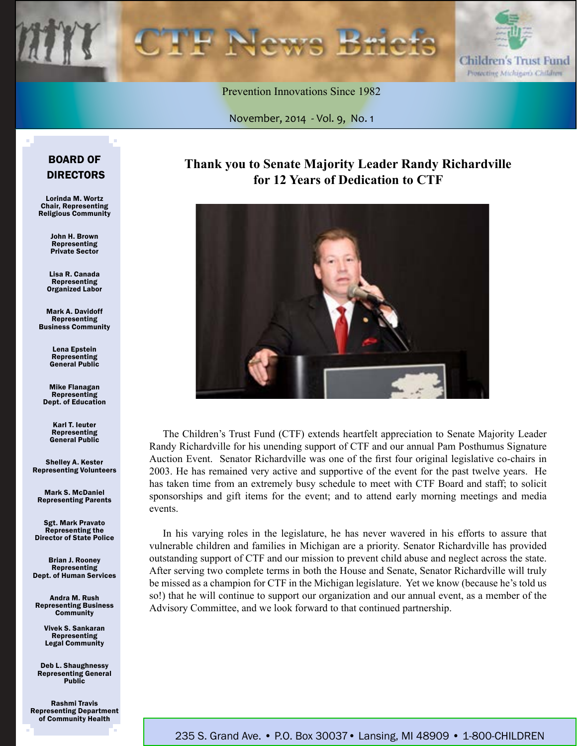



Prevention Innovations Since 1982

November, 2014 *-* Vol. 9, No. 1

#### BOARD OF DIRECTORS

Lorinda M. Wortz Chair, Representing Religious Community

> John H. Brown Representing Private Sector

Lisa R. Canada Representing Organized Labor

Mark A. Davidoff Representing Business Community

> Lena Epstein Representing General Public

Mike Flanagan Representing Dept. of Education

> Karl T. Ieuter Representing General Public

Shelley A. Kester Representing Volunteers

Mark S. McDaniel Representing Parents

Sgt. Mark Pravato Representing the Director of State Police

Brian J. Rooney **Representing** Dept. of Human Services

Andra M. Rush Representing Business **Community** 

> Vivek S. Sankaran Representing Legal Community

Deb L. Shaughnessy Representing General **Public** 

Rashmi Travis Representing Department of Community Health

### **Thank you to Senate Majority Leader Randy Richardville for 12 Years of Dedication to CTF**



The Children's Trust Fund (CTF) extends heartfelt appreciation to Senate Majority Leader Randy Richardville for his unending support of CTF and our annual Pam Posthumus Signature Auction Event. Senator Richardville was one of the first four original legislative co-chairs in 2003. He has remained very active and supportive of the event for the past twelve years. He has taken time from an extremely busy schedule to meet with CTF Board and staff; to solicit sponsorships and gift items for the event; and to attend early morning meetings and media events.

In his varying roles in the legislature, he has never wavered in his efforts to assure that vulnerable children and families in Michigan are a priority. Senator Richardville has provided outstanding support of CTF and our mission to prevent child abuse and neglect across the state. After serving two complete terms in both the House and Senate, Senator Richardville will truly be missed as a champion for CTF in the Michigan legislature. Yet we know (because he's told us so!) that he will continue to support our organization and our annual event, as a member of the Advisory Committee, and we look forward to that continued partnership.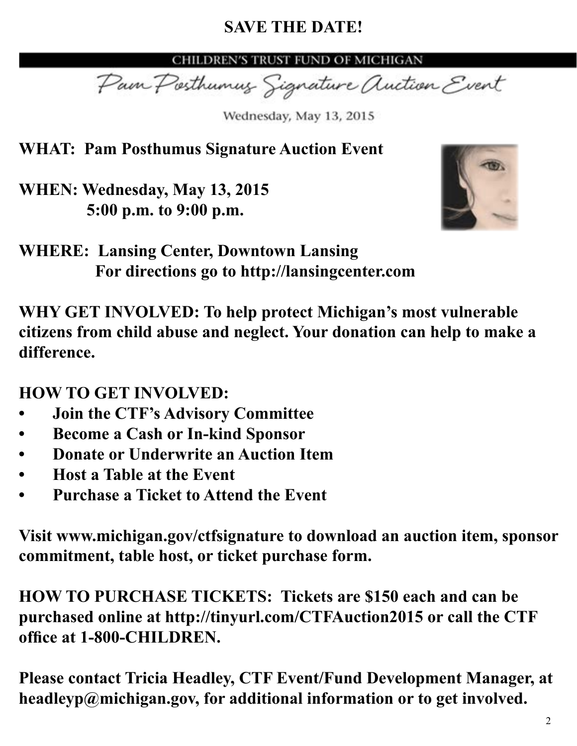# **SAVE THE DATE!**

CHILDREN'S TRUST FUND OF MICHIGAN

Pain Posthumus Signature Auction Event

Wednesday, May 13, 2015

**WHAT: Pam Posthumus Signature Auction Event**

**WHEN: Wednesday, May 13, 2015 5:00 p.m. to 9:00 p.m.**



# **WHERE: Lansing Center, Downtown Lansing For directions go to http://lansingcenter.com**

**WHY GET INVOLVED: To help protect Michigan's most vulnerable citizens from child abuse and neglect. Your donation can help to make a difference.** 

**HOW TO GET INVOLVED:**

- **• Join the CTF's Advisory Committee**
- **Become a Cash or In-kind Sponsor**
- **Donate or Underwrite an Auction Item**
- **Host a Table at the Event**
- **• Purchase a Ticket to Attend the Event**

**Visit www.michigan.gov/ctfsignature to download an auction item, sponsor commitment, table host, or ticket purchase form.** 

**HOW TO PURCHASE TICKETS: Tickets are \$150 each and can be purchased online at http://tinyurl.com/CTFAuction2015 or call the CTF office at 1-800-CHILDREN.**

**Please contact Tricia Headley, CTF Event/Fund Development Manager, at headleyp@michigan.gov, for additional information or to get involved.**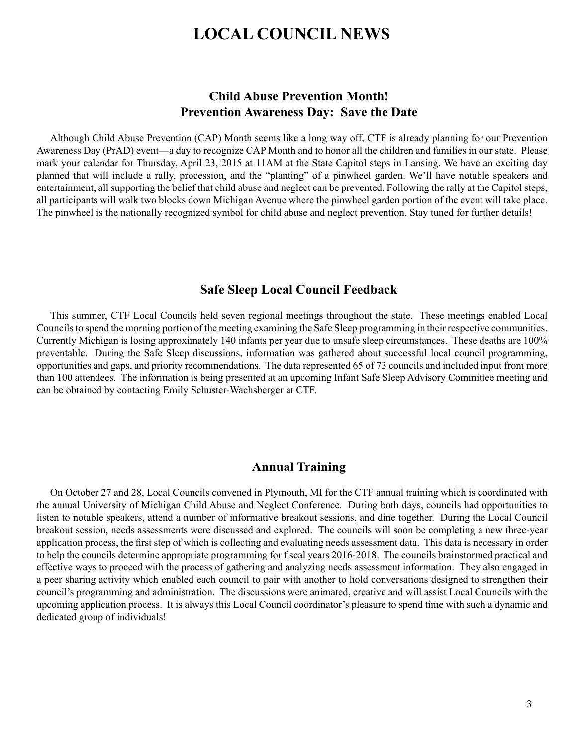## **LOCAL COUNCIL NEWS**

### **Child Abuse Prevention Month! Prevention Awareness Day: Save the Date**

Although Child Abuse Prevention (CAP) Month seems like a long way off, CTF is already planning for our Prevention Awareness Day (PrAD) event—a day to recognize CAP Month and to honor all the children and families in our state. Please mark your calendar for Thursday, April 23, 2015 at 11AM at the State Capitol steps in Lansing. We have an exciting day planned that will include a rally, procession, and the "planting" of a pinwheel garden. We'll have notable speakers and entertainment, all supporting the belief that child abuse and neglect can be prevented. Following the rally at the Capitol steps, all participants will walk two blocks down Michigan Avenue where the pinwheel garden portion of the event will take place. The pinwheel is the nationally recognized symbol for child abuse and neglect prevention. Stay tuned for further details!

#### **Safe Sleep Local Council Feedback**

This summer, CTF Local Councils held seven regional meetings throughout the state. These meetings enabled Local Councils to spend the morning portion of the meeting examining the Safe Sleep programming in their respective communities. Currently Michigan is losing approximately 140 infants per year due to unsafe sleep circumstances. These deaths are 100% preventable. During the Safe Sleep discussions, information was gathered about successful local council programming, opportunities and gaps, and priority recommendations. The data represented 65 of 73 councils and included input from more than 100 attendees. The information is being presented at an upcoming Infant Safe Sleep Advisory Committee meeting and can be obtained by contacting Emily Schuster-Wachsberger at CTF.

#### **Annual Training**

On October 27 and 28, Local Councils convened in Plymouth, MI for the CTF annual training which is coordinated with the annual University of Michigan Child Abuse and Neglect Conference. During both days, councils had opportunities to listen to notable speakers, attend a number of informative breakout sessions, and dine together. During the Local Council breakout session, needs assessments were discussed and explored. The councils will soon be completing a new three-year application process, the first step of which is collecting and evaluating needs assessment data. This data is necessary in order to help the councils determine appropriate programming for fiscal years 2016-2018. The councils brainstormed practical and effective ways to proceed with the process of gathering and analyzing needs assessment information. They also engaged in a peer sharing activity which enabled each council to pair with another to hold conversations designed to strengthen their council's programming and administration. The discussions were animated, creative and will assist Local Councils with the upcoming application process. It is always this Local Council coordinator's pleasure to spend time with such a dynamic and dedicated group of individuals!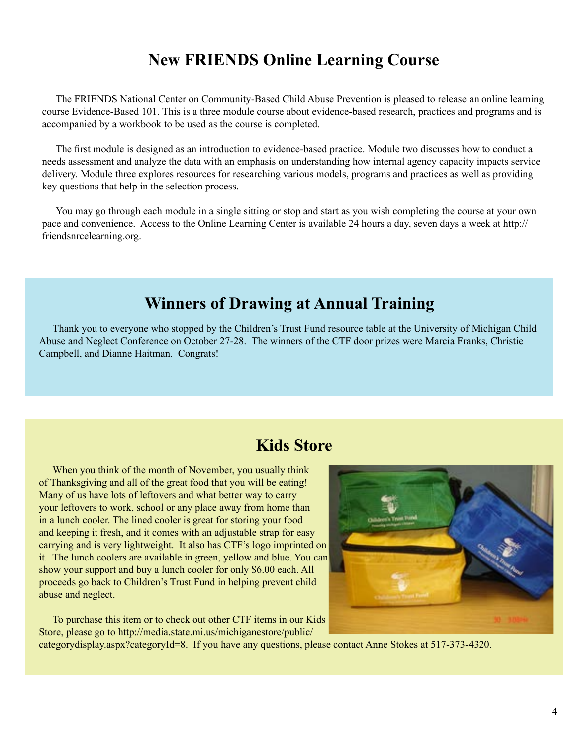# **New FRIENDS Online Learning Course**

The FRIENDS National Center on Community-Based Child Abuse Prevention is pleased to release an online learning course Evidence-Based 101. This is a three module course about evidence-based research, practices and programs and is accompanied by a workbook to be used as the course is completed.

The first module is designed as an introduction to evidence-based practice. Module two discusses how to conduct a needs assessment and analyze the data with an emphasis on understanding how internal agency capacity impacts service delivery. Module three explores resources for researching various models, programs and practices as well as providing key questions that help in the selection process.

You may go through each module in a single sitting or stop and start as you wish completing the course at your own pace and convenience. Access to the Online Learning Center is available 24 hours a day, seven days a week at http:// friendsnrcelearning.org.

## **Winners of Drawing at Annual Training**

Thank you to everyone who stopped by the Children's Trust Fund resource table at the University of Michigan Child Abuse and Neglect Conference on October 27-28. The winners of the CTF door prizes were Marcia Franks, Christie Campbell, and Dianne Haitman. Congrats!

## **Kids Store**

When you think of the month of November, you usually think of Thanksgiving and all of the great food that you will be eating! Many of us have lots of leftovers and what better way to carry your leftovers to work, school or any place away from home than in a lunch cooler. The lined cooler is great for storing your food and keeping it fresh, and it comes with an adjustable strap for easy carrying and is very lightweight. It also has CTF's logo imprinted on it. The lunch coolers are available in green, yellow and blue. You can show your support and buy a lunch cooler for only \$6.00 each. All proceeds go back to Children's Trust Fund in helping prevent child abuse and neglect.

To purchase this item or to check out other CTF items in our Kids [Store, please go to http://media.state.mi.us/michiganestore/public/](http://media.state.mi.us/michiganestore/public/categorydisplay.aspx?categoryId=8)



categorydisplay.aspx?categoryId=8. If you have any questions, please contact Anne Stokes at 517-373-4320.